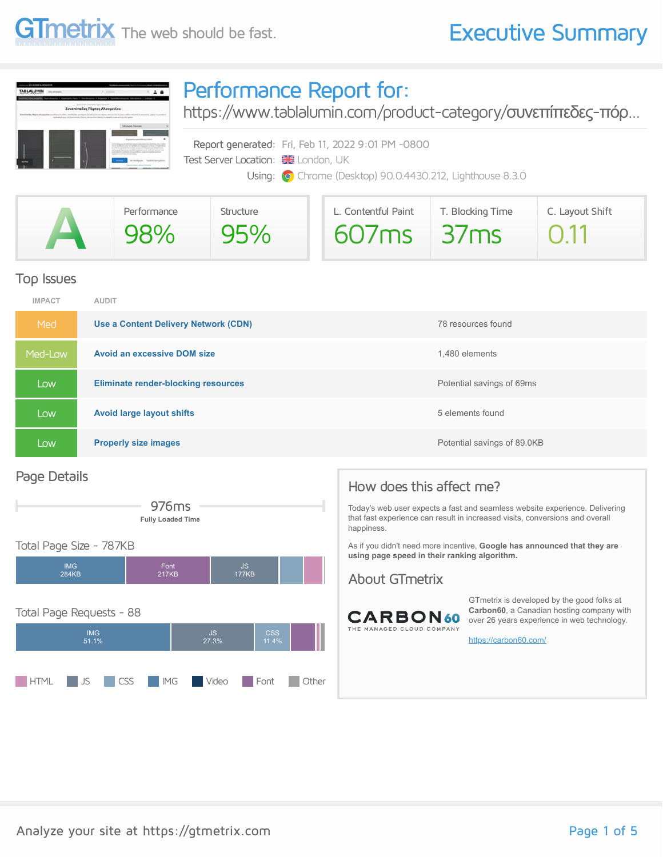#### **GTmetrix** The web should be fast. **Executive Summary**

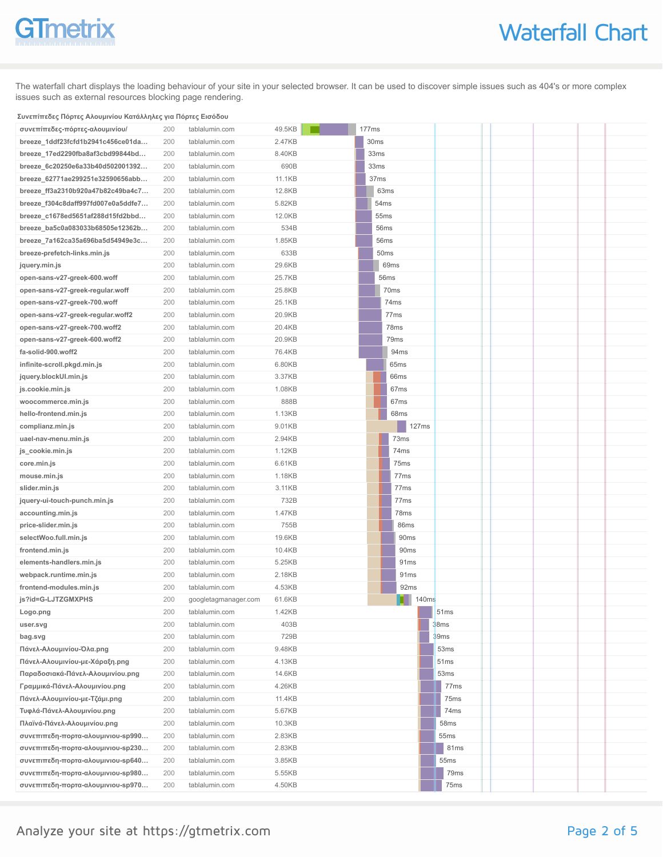## **GTmetrix**

The waterfall chart displays the loading behaviour of your site in your selected browser. It can be used to discover simple issues such as 404's or more complex issues such as external resources blocking page rendering.

#### **Συνεπίπεδες Πόρτες Αλουμινίου Κατάλληλες για Πόρτες Εισόδου**

| συνεπίπεδες-πόρτες-αλουμινίου/     | 200 | tablalumin.com       | 49.5KB | 177ms |                  |                  |       |      |                  |  |  |
|------------------------------------|-----|----------------------|--------|-------|------------------|------------------|-------|------|------------------|--|--|
| breeze_1ddf23fcfd1b2941c456ce01da  | 200 | tablalumin.com       | 2.47KB |       | 30ms             |                  |       |      |                  |  |  |
| breeze_17ed2290fba8af3cbd99844bd   | 200 | tablalumin.com       | 8.40KB |       | 33ms             |                  |       |      |                  |  |  |
| breeze_6c20250e6a33b40d502001392   | 200 | tablalumin.com       | 690B   |       | 33ms             |                  |       |      |                  |  |  |
| breeze_62771ae299251e32590656abb   | 200 | tablalumin.com       | 11.1KB |       | 37 <sub>ms</sub> |                  |       |      |                  |  |  |
| breeze_ff3a2310b920a47b82c49ba4c7  | 200 | tablalumin.com       | 12.8KB |       | 63ms             |                  |       |      |                  |  |  |
| breeze_f304c8daff997fd007e0a5ddfe7 | 200 | tablalumin.com       | 5.82KB |       | 54ms             |                  |       |      |                  |  |  |
| breeze_c1678ed5651af288d15fd2bbd   | 200 | tablalumin.com       | 12.0KB |       | 55ms             |                  |       |      |                  |  |  |
| breeze_ba5c0a083033b68505e12362b   | 200 | tablalumin.com       | 534B   |       | 56ms             |                  |       |      |                  |  |  |
| breeze_7a162ca35a696ba5d54949e3c   | 200 | tablalumin.com       | 1.85KB |       | 56ms             |                  |       |      |                  |  |  |
| breeze-prefetch-links.min.js       | 200 | tablalumin.com       | 633B   |       | 50ms             |                  |       |      |                  |  |  |
| jquery.min.js                      | 200 | tablalumin.com       | 29.6KB |       |                  | 69ms             |       |      |                  |  |  |
| open-sans-v27-greek-600.woff       | 200 | tablalumin.com       | 25.7KB |       | 56ms             |                  |       |      |                  |  |  |
| open-sans-v27-greek-regular.woff   | 200 | tablalumin.com       | 25.8KB |       |                  | 70ms             |       |      |                  |  |  |
| open-sans-v27-greek-700.woff       | 200 | tablalumin.com       | 25.1KB |       |                  | 74ms             |       |      |                  |  |  |
| open-sans-v27-greek-regular.woff2  | 200 | tablalumin.com       | 20.9KB |       |                  | 77 <sub>ms</sub> |       |      |                  |  |  |
| open-sans-v27-greek-700.woff2      | 200 | tablalumin.com       | 20.4KB |       |                  | 78ms             |       |      |                  |  |  |
| open-sans-v27-greek-600.woff2      | 200 | tablalumin.com       | 20.9KB |       |                  | 79 <sub>ms</sub> |       |      |                  |  |  |
| fa-solid-900.woff2                 | 200 | tablalumin.com       | 76.4KB |       |                  | 94ms             |       |      |                  |  |  |
| infinite-scroll.pkgd.min.js        | 200 | tablalumin.com       | 6.80KB |       |                  | 65 <sub>ms</sub> |       |      |                  |  |  |
| jquery.blockUI.min.js              | 200 | tablalumin.com       | 3.37KB |       |                  | 66ms             |       |      |                  |  |  |
| js.cookie.min.js                   | 200 | tablalumin.com       | 1.08KB |       |                  | 67 <sub>ms</sub> |       |      |                  |  |  |
| woocommerce.min.js                 | 200 | tablalumin.com       | 888B   |       |                  | 67 <sub>ms</sub> |       |      |                  |  |  |
| hello-frontend.min.js              | 200 | tablalumin.com       | 1.13KB |       |                  | 68ms             |       |      |                  |  |  |
| complianz.min.js                   | 200 | tablalumin.com       | 9.01KB |       |                  |                  | 127ms |      |                  |  |  |
| uael-nav-menu.min.js               | 200 | tablalumin.com       | 2.94KB |       |                  | 73ms             |       |      |                  |  |  |
| js_cookie.min.js                   | 200 | tablalumin.com       | 1.12KB |       |                  | 74 <sub>ms</sub> |       |      |                  |  |  |
| core.min.js                        | 200 | tablalumin.com       | 6.61KB |       |                  | 75ms             |       |      |                  |  |  |
| mouse.min.js                       | 200 | tablalumin.com       | 1.18KB |       |                  | 77 <sub>ms</sub> |       |      |                  |  |  |
| slider.min.js                      | 200 | tablalumin.com       | 3.11KB |       |                  | 77 <sub>ms</sub> |       |      |                  |  |  |
| jquery-ui-touch-punch.min.js       | 200 | tablalumin.com       | 732B   |       |                  | 77 <sub>ms</sub> |       |      |                  |  |  |
| accounting.min.js                  | 200 | tablalumin.com       | 1.47KB |       |                  | 78ms             |       |      |                  |  |  |
| price-slider.min.js                | 200 | tablalumin.com       | 755B   |       |                  | 86ms             |       |      |                  |  |  |
| selectWoo.full.min.js              | 200 | tablalumin.com       | 19.6KB |       |                  | 90 <sub>ms</sub> |       |      |                  |  |  |
| frontend.min.js                    | 200 | tablalumin.com       | 10.4KB |       |                  | 90ms             |       |      |                  |  |  |
| elements-handlers.min.js           | 200 | tablalumin.com       | 5.25KB |       |                  | 91 <sub>ms</sub> |       |      |                  |  |  |
| webpack.runtime.min.js             | 200 | tablalumin.com       | 2.18KB |       |                  | 91 <sub>ms</sub> |       |      |                  |  |  |
| frontend-modules.min.js            | 200 | tablalumin.com       | 4.53KB |       |                  | 92ms             |       |      |                  |  |  |
| js?id=G-LJTZGMXPHS                 | 200 | googletagmanager.com | 61.6KB |       |                  |                  | 140ms |      |                  |  |  |
| Logo.png                           | 200 | tablalumin.com       | 1.42KB |       |                  |                  |       |      | 51 <sub>ms</sub> |  |  |
| user.svg                           | 200 | tablalumin.com       | 403B   |       |                  |                  |       | 38ms |                  |  |  |
| bag.svg                            | 200 | tablalumin.com       | 729B   |       |                  |                  |       |      | 39ms             |  |  |
| Πάνελ-Αλουμινίου-Όλα.png           | 200 | tablalumin.com       | 9.48KB |       |                  |                  |       |      | 53ms             |  |  |
| Πάνελ-Αλουμινίου-με-Χάραξη.png     | 200 | tablalumin.com       | 4.13KB |       |                  |                  |       |      | 51 <sub>ms</sub> |  |  |
| Παραδοσιακά-Πάνελ-Αλουμινίου.png   | 200 | tablalumin.com       | 14.6KB |       |                  |                  |       |      | 53ms             |  |  |
| Γραμμικά-Πάνελ-Αλουμινίου.png      | 200 | tablalumin.com       | 4.26KB |       |                  |                  |       |      | 77 <sub>ms</sub> |  |  |
| Πάνελ-Αλουμινίου-με-Τζάμι.png      | 200 | tablalumin.com       | 11.4KB |       |                  |                  |       |      | 75ms             |  |  |
| Τυφλά-Πάνελ-Αλουμινίου.png         | 200 | tablalumin.com       | 5.67KB |       |                  |                  |       |      | 74ms             |  |  |
| Πλαϊνά-Πάνελ-Αλουμινίου.png        | 200 | tablalumin.com       | 10.3KB |       |                  |                  |       |      | 58ms             |  |  |
| συνεπιπεδη-πορτα-αλουμινιου-sp990  | 200 | tablalumin.com       | 2.83KB |       |                  |                  |       |      | 55 <sub>ms</sub> |  |  |
| συνεπιπεδη-πορτα-αλουμινιου-sp230  | 200 | tablalumin.com       | 2.83KB |       |                  |                  |       |      | 81ms             |  |  |
| συνεπιπεδη-πορτα-αλουμινιου-sp640  | 200 | tablalumin.com       | 3.85KB |       |                  |                  |       |      | 55 <sub>ms</sub> |  |  |
| συνεπιπεδη-πορτα-αλουμινιου-sp980  | 200 | tablalumin.com       | 5.55KB |       |                  |                  |       |      | 79ms             |  |  |
| συνεπιπεδη-πορτα-αλουμινιου-sp970  | 200 | tablalumin.com       | 4.50KB |       |                  |                  |       |      | 75ms             |  |  |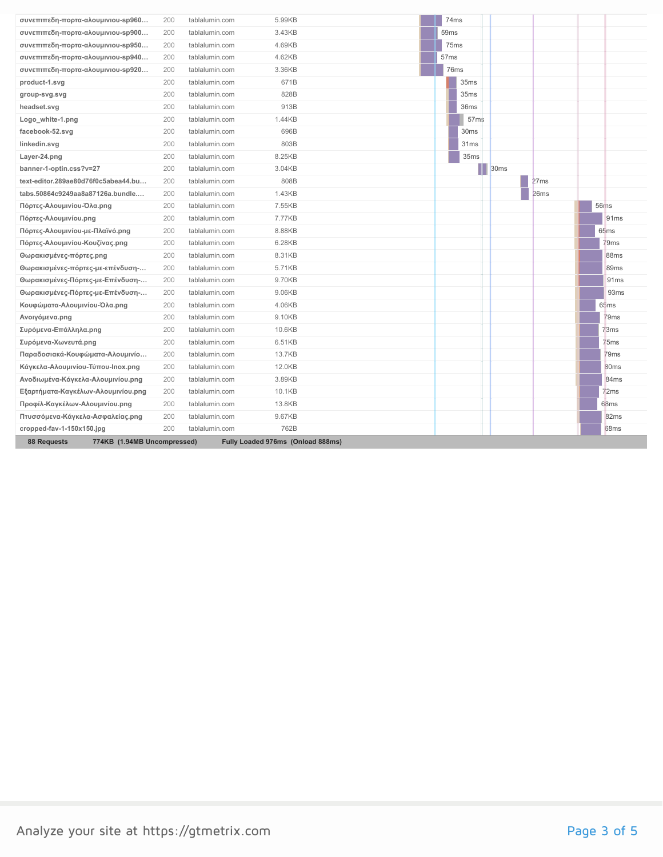| συνεπιπεδη-πορτα-αλουμινιου-sp960                 | 200 | tablalumin.com | 5.99KB                            | 74ms             |                  |                  |      |                  |
|---------------------------------------------------|-----|----------------|-----------------------------------|------------------|------------------|------------------|------|------------------|
| συνεπιπεδη-πορτα-αλουμινιου-sp900                 | 200 | tablalumin.com | 3.43KB                            | 59 <sub>ms</sub> |                  |                  |      |                  |
| συνεπιπεδη-πορτα-αλουμινιου-sp950                 | 200 | tablalumin.com | 4.69KB                            | 75ms             |                  |                  |      |                  |
| συνεπιπεδη-πορτα-αλουμινιου-sp940                 | 200 | tablalumin.com | 4.62KB                            | 57 <sub>ms</sub> |                  |                  |      |                  |
| συνεπιπεδη-πορτα-αλουμινιου-sp920                 | 200 | tablalumin.com | 3.36KB                            | 76ms             |                  |                  |      |                  |
| product-1.svg                                     | 200 | tablalumin.com | 671B                              |                  | 35ms             |                  |      |                  |
| group-svg.svg                                     | 200 | tablalumin.com | 828B                              |                  | 35ms             |                  |      |                  |
| headset.svg                                       | 200 | tablalumin.com | 913B                              |                  | 36ms             |                  |      |                  |
| Logo_white-1.png                                  | 200 | tablalumin.com | 1.44KB                            |                  | 57 <sub>ms</sub> |                  |      |                  |
| facebook-52.svg                                   | 200 | tablalumin.com | 696B                              |                  | 30 <sub>ms</sub> |                  |      |                  |
| linkedin.svg                                      | 200 | tablalumin.com | 803B                              |                  | 31ms             |                  |      |                  |
| Layer-24.png                                      | 200 | tablalumin.com | 8.25KB                            |                  | 35ms             |                  |      |                  |
| banner-1-optin.css?v=27                           | 200 | tablalumin.com | 3.04KB                            |                  |                  | 30 <sub>ms</sub> |      |                  |
| text-editor.289ae80d76f0c5abea44.bu               | 200 | tablalumin.com | 808B                              |                  |                  |                  | 27ms |                  |
| tabs.50864c9249aa8a87126a.bundle                  | 200 | tablalumin.com | 1.43KB                            |                  |                  |                  | 26ms |                  |
| Πόρτες-Αλουμινίου-Όλα.png                         | 200 | tablalumin.com | 7.55KB                            |                  |                  |                  |      | 56rns            |
| Πόρτες-Αλουμινίου.png                             | 200 | tablalumin.com | 7.77KB                            |                  |                  |                  |      | 91 <sub>ms</sub> |
| Πόρτες-Αλουμινίου-με-Πλαϊνό.png                   | 200 | tablalumin.com | 8.88KB                            |                  |                  |                  |      | 65 <sub>ms</sub> |
| Πόρτες-Αλουμινίου-Κουζίνας.png                    | 200 | tablalumin.com | 6.28KB                            |                  |                  |                  |      | '9ms             |
| Θωρακισμένες-πόρτες.png                           | 200 | tablalumin.com | 8.31KB                            |                  |                  |                  |      | 88ms             |
| Θωρακισμένες-πόρτες-με-επένδυση-                  | 200 | tablalumin.com | 5.71KB                            |                  |                  |                  |      | 89ms             |
| Θωρακισμένες-Πόρτες-με-Επένδυση-                  | 200 | tablalumin.com | 9.70KB                            |                  |                  |                  |      | 91 <sub>ms</sub> |
| Θωρακισμένες-Πόρτες-με-Επένδυση-                  | 200 | tablalumin.com | 9.06KB                            |                  |                  |                  |      | 93ms             |
| Κουφώματα-Αλουμινίου-Όλα.png                      | 200 | tablalumin.com | 4.06KB                            |                  |                  |                  |      | 65ms             |
| Ανοιγόμενα.png                                    | 200 | tablalumin.com | 9.10KB                            |                  |                  |                  |      | 79 <sub>ms</sub> |
| Συρόμενα-Επάλληλα.png                             | 200 | tablalumin.com | 10.6KB                            |                  |                  |                  |      | 73ms             |
| Συρόμενα-Χωνευτά.png                              | 200 | tablalumin.com | 6.51KB                            |                  |                  |                  |      | 75ms             |
| Παραδοσιακά-Κουφώματα-Αλουμινίο                   | 200 | tablalumin.com | 13.7KB                            |                  |                  |                  |      | 79 <sub>ms</sub> |
| Κάγκελα-Αλουμινίου-Τύπου-Inox.png                 | 200 | tablalumin.com | 12.0KB                            |                  |                  |                  |      | 30 <sub>ms</sub> |
| Ανοδιωμένα-Κάγκελα-Αλουμινίου.png                 | 200 | tablalumin.com | 3.89KB                            |                  |                  |                  |      | 84ms             |
| Εξαρτήματα-Καγκέλων-Αλουμινίου.png                | 200 | tablalumin.com | 10.1KB                            |                  |                  |                  |      | 72ms             |
| Προφίλ-Καγκέλων-Αλουμινίου.png                    | 200 | tablalumin.com | 13.8KB                            |                  |                  |                  |      | 68 <sub>ms</sub> |
| Πτυσσόμενα-Κάγκελα-Ασφαλείας.png                  | 200 | tablalumin.com | 9.67KB                            |                  |                  |                  |      | 82ms             |
| cropped-fav-1-150x150.jpg                         | 200 | tablalumin.com | 762B                              |                  |                  |                  |      | 68 <sub>ms</sub> |
| 774KB (1.94MB Uncompressed)<br><b>88 Requests</b> |     |                | Fully Loaded 976ms (Onload 888ms) |                  |                  |                  |      |                  |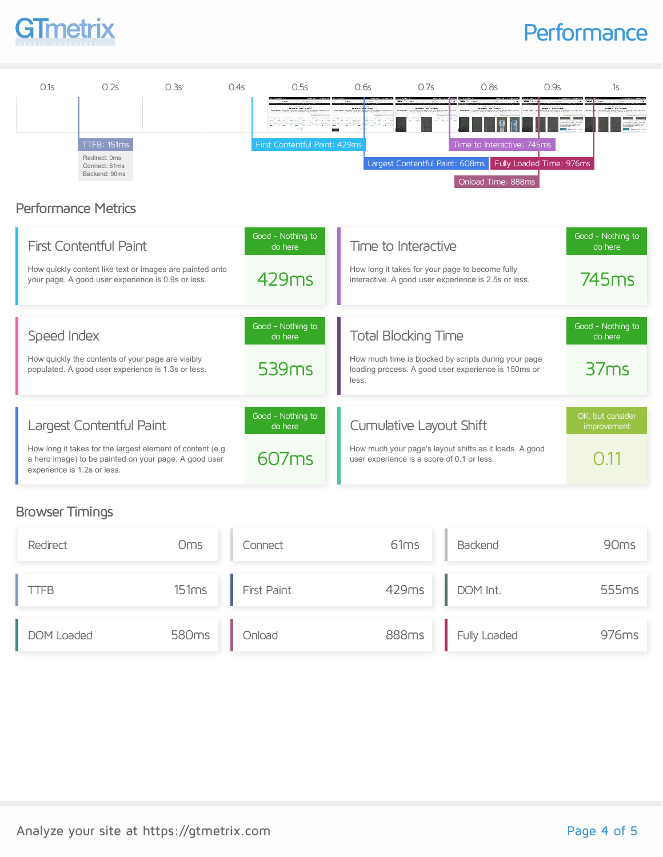## GTmetrix

#### **Performance**



How long it takes for the largest element of content (e.g. a hero image) to be painted on your page. A good user experience is 1.2s or less.

#### Browser Timings

| Redirect   | Oms   | Connect            | 61 <sub>ms</sub> | Backend      | 90 <sub>ms</sub> |
|------------|-------|--------------------|------------------|--------------|------------------|
| TFB        | 151ms | <b>First Paint</b> | 429ms            | DOM Int.     | 555ms            |
| DOM Loaded | 580ms | Onload             | 888ms            | Fully Loaded | 976ms            |

How much your page's layout shifts as it loads. A good

user experience is a score of 0.1 or less.

607ms

 $0.11$